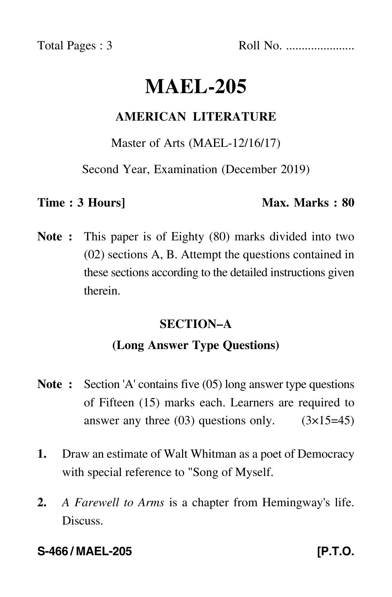Total Pages : 3 Roll No. ......................

# **MAEL-205**

# **AMERICAN LITERATURE**

#### Master of Arts (MAEL-12/16/17)

Second Year, Examination (December 2019)

### **Time : 3 Hours]** Max. Marks : 80

**Note :** This paper is of Eighty (80) marks divided into two (02) sections A, B. Attempt the questions contained in these sections according to the detailed instructions given therein.

# **SECTION–A**

# **(Long Answer Type Questions)**

- **Note :** Section 'A' contains five (05) long answer type questions of Fifteen (15) marks each. Learners are required to answer any three  $(03)$  questions only.  $(3\times15=45)$
- **1.** Draw an estimate of Walt Whitman as a poet of Democracy with special reference to "Song of Myself.
- **2.** *A Farewell to Arms* is a chapter from Hemingway's life. Discuss.

## **S-466 / MAEL-205 [P.T.O.**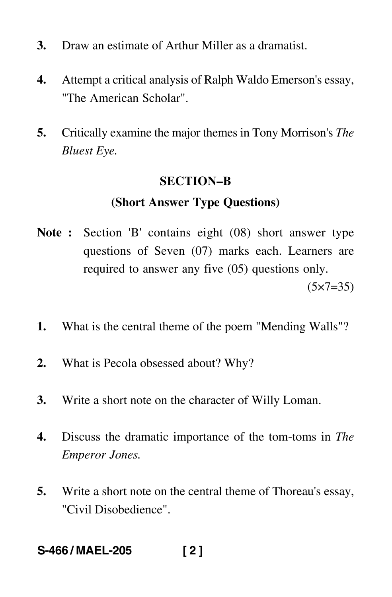- **3.** Draw an estimate of Arthur Miller as a dramatist.
- **4.** Attempt a critical analysis of Ralph Waldo Emerson's essay, "The American Scholar".
- **5.** Critically examine the major themes in Tony Morrison's *The Bluest Eye.*

#### **SECTION–B**

#### **(Short Answer Type Questions)**

- **Note :** Section 'B' contains eight (08) short answer type questions of Seven (07) marks each. Learners are required to answer any five (05) questions only.  $(5 \times 7 = 35)$
- **1.** What is the central theme of the poem "Mending Walls"?
- **2.** What is Pecola obsessed about? Why?
- **3.** Write a short note on the character of Willy Loman.
- **4.** Discuss the dramatic importance of the tom-toms in *The Emperor Jones.*
- **5.** Write a short note on the central theme of Thoreau's essay, "Civil Disobedience".

# **S-466 / MAEL-205 [ 2 ]**